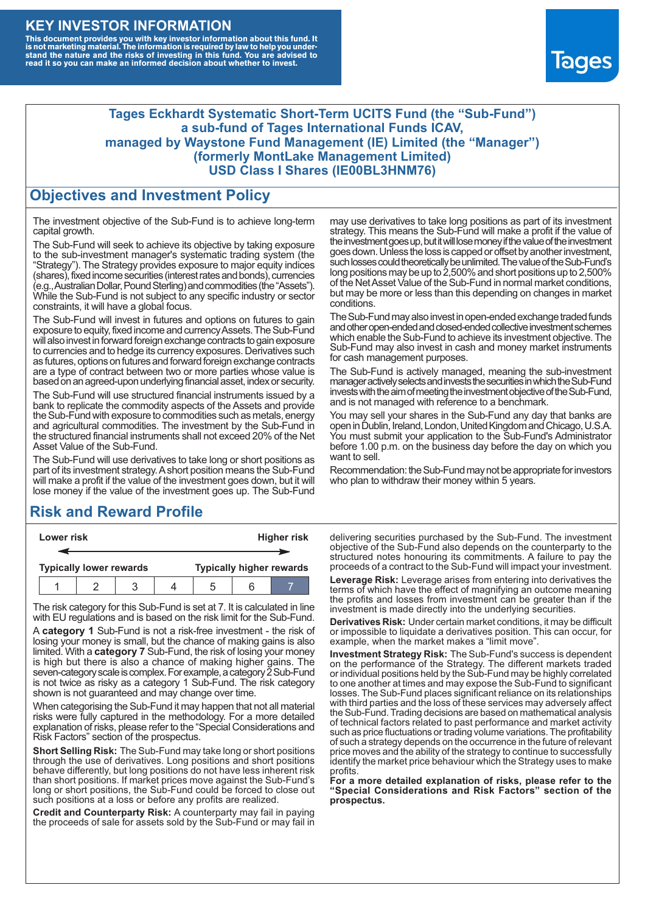#### **KEY INVESTOR INFORMATION**

This document provides you with key investor information about this fund. It<br>is not marketing material. The information is required by law to help you under-<br>stand the nature and the risks of investing in this fund. You ar



#### **Tages Eckhardt Systematic Short-Term UCITS Fund (the "Sub-Fund") a sub-fund of Tages International Funds ICAV, managed by Waystone Fund Management (IE) Limited (the "Manager") (formerly MontLake Management Limited) USD Class I Shares (IE00BL3HNM76)**

#### **Objectives and Investment Policy**

The investment objective of the Sub-Fund is to achieve long-term capital growth.

The Sub-Fund will seek to achieve its objective by taking exposure to the sub-investment manager's systematic trading system (the "Strategy"). The Strategy provides exposure to major equity indices (shares),fixed income securities (interest rates and bonds), currencies (e.g.,AustralianDollar,PoundSterling)and commodities (the "Assets"). While the Sub-Fund is not subject to any specific industry or sector constraints, it will have a global focus.

The Sub-Fund will invest in futures and options on futures to gain exposure to equity, fixed income and currency Assets. The Sub-Fund will also invest in forward foreign exchange contracts to gain exposure to currencies and to hedge its currency exposures. Derivatives such as futures, options on futures and forward foreign exchange contracts are a type of contract between two or more parties whose value is based on an agreed-upon underlying financial asset, index or security.

The Sub-Fund will use structured financial instruments issued by a bank to replicate the commodity aspects of the Assets and provide the Sub-Fund with exposure to commodities such as metals, energy and agricultural commodities. The investment by the Sub-Fund in the structured financial instruments shall not exceed 20% of the Net Asset Value of the Sub-Fund.

The Sub-Fund will use derivatives to take long or short positions as part of its investment strategy.A short position means the Sub-Fund will make a profit if the value of the investment goes down, but it will lose money if the value of the investment goes up. The Sub-Fund

# **Risk and Reward Profile**

| Lower risk                     |  |  |  | <b>Higher risk</b>              |  |  |  |
|--------------------------------|--|--|--|---------------------------------|--|--|--|
|                                |  |  |  |                                 |  |  |  |
| <b>Typically lower rewards</b> |  |  |  | <b>Typically higher rewards</b> |  |  |  |
|                                |  |  |  | ۰.                              |  |  |  |

The risk category for this Sub-Fund is set at 7. It is calculated in line with EU regulations and is based on the risk limit for the Sub-Fund.

A **category 1** Sub-Fund is not a risk-free investment - the risk of losing your money is small, but the chance of making gains is also limited. With a **category 7** Sub-Fund, the risk of losing your money is high but there is also a chance of making higher gains. The seven-category scale is complex. For example, a category 2 Sub-Fund is not twice as risky as a category 1 Sub-Fund. The risk category shown is not guaranteed and may change over time.

When categorising the Sub-Fund it may happen that not all material risks were fully captured in the methodology. For a more detailed explanation of risks, please refer to the "Special Considerations and Risk Factors" section of the prospectus.

**Short Selling Risk:** The Sub-Fund may take long or short positions through the use of derivatives. Long positions and short positions behave differently, but long positions do not have less inherent risk than short positions. If market prices move against the Sub-Fund's long or short positions, the Sub-Fund could be forced to close out such positions at a loss or before any profits are realized.

**Credit and Counterparty Risk:** A counterparty may fail in paying the proceeds of sale for assets sold by the Sub-Fund or may fail in may use derivatives to take long positions as part of its investment strategy. This means the Sub-Fund will make a profit if the value of the investment goes up, but it will lose money if the value of the investment goes down. Unless the loss is capped or offset by another investment, such losses could theoretically be unlimited. The value of the Sub-Fund's long positions may be up to 2,500% and short positions up to 2,500% of the NetAsset Value of the Sub-Fund in normal market conditions, but may be more or less than this depending on changes in market conditions.

The Sub-Fund may also invest in open-ended exchange traded funds and other open-ended and closed-ended collective investment schemes which enable the Sub-Fund to achieve its investment objective. The Sub-Fund may also invest in cash and money market instruments for cash management purposes.

The Sub-Fund is actively managed, meaning the sub-investment manager actively selects and invests the securities in which the Sub-Fund invests with the aim of meeting the investment objective of the Sub-Fund, and is not managed with reference to a benchmark.

You may sell your shares in the Sub-Fund any day that banks are open in Dublin, Ireland, London, United Kingdom and Chicago, U.S.A. You must submit your application to the Sub-Fund's Administrator before 1.00 p.m. on the business day before the day on which you want to sell.

Recommendation: the Sub-Fund may not be appropriate for investors who plan to withdraw their money within 5 years.

delivering securities purchased by the Sub-Fund. The investment objective of the Sub-Fund also depends on the counterparty to the structured notes honouring its commitments. A failure to pay the proceeds of a contract to the Sub-Fund will impact your investment.

**Leverage Risk:** Leverage arises from entering into derivatives the terms of which have the effect of magnifying an outcome meaning the profits and losses from investment can be greater than if the investment is made directly into the underlying securities.

**Derivatives Risk:** Under certain market conditions, it may be difficult or impossible to liquidate a derivatives position. This can occur, for example, when the market makes a "limit move".

**Investment Strategy Risk:** The Sub-Fund's success is dependent on the performance of the Strategy. The different markets traded or individual positions held by the Sub-Fund may be highly correlated to one another at times and may expose the Sub-Fund to significant losses. The Sub-Fund places significant reliance on its relationships with third parties and the loss of these services may adversely affect the Sub-Fund. Trading decisions are based on mathematical analysis of technical factors related to past performance and market activity such as price fluctuations or trading volume variations. The profitability of such a strategy depends on the occurrence in the future of relevant price moves and the ability of the strategy to continue to successfully identify the market price behaviour which the Strategy uses to make profits.

**For a more detailed explanation of risks, please refer to the "Special Considerations and Risk Factors" section of the prospectus.**